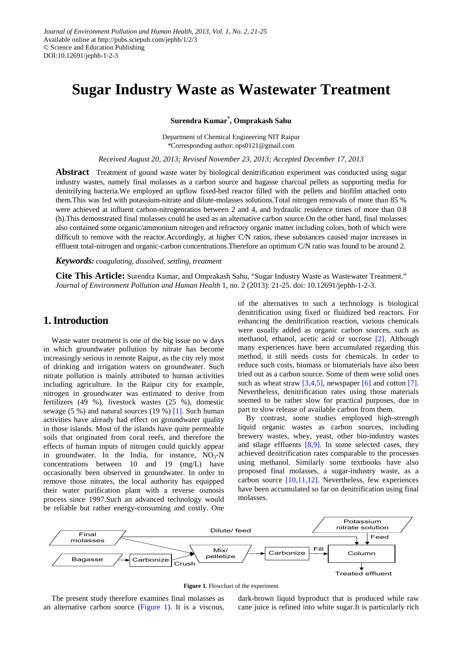# **Sugar Industry Waste as Wastewater Treatment**

**Surendra Kumar\* , Omprakash Sahu**

Department of Chemical Engineering NIT Raipur \*Corresponding author: ops0121@gmail.com

*Received August 20, 2013; Revised November 23, 2013; Accepted December 17, 2013*

**Abstract** Treatment of gound waste water by biological denitrification experiment was conducted using sugar industry wastes, namely final molasses as a carbon source and bagasse charcoal pellets as supporting media for denitrifying bacteria.We employed an upflow fixed-bed reactor filled with the pellets and biofilm attached onto them.This was fed with potassium-nitrate and dilute-molasses solutions.Total nitrogen removals of more than 85 % were achieved at influent carbon-nitrogenratios between 2 and 4, and hydraulic residence times of more than 0.8 (h).This demonstrated final molasses could be used as an alternative carbon source.On the other hand, final molasses also contained some organic/ammonium nitrogen and refractory organic matter including colors, both of which were difficult to remove with the reactor.Accordingly, at higher C/N ratios, these substances caused major increases in effluent total-nitrogen and organic-carbon concentrations.Therefore an optimum C/N ratio was found to be around 2.

#### *Keywords: coagulating, dissolved, settling, treatment*

**Cite This Article:** Surendra Kumar, and Omprakash Sahu, "Sugar Industry Waste as Wastewater Treatment." *Journal of Environment Pollution and Human Health* 1, no. 2 (2013): 21-25. doi: 10.12691/jephh-1-2-3.

# **1. Introduction**

Waste water treatment is one of the big issue no w days in which groundwater pollution by nitrate has become increasingly serious in remote Raipur, as the city rely most of drinking and irrigation waters on groundwater. Such nitrate pollution is mainly attributed to human activities including agriculture. In the Raipur city for example, nitrogen in groundwater was estimated to derive from fertilizers (49 %), livestock wastes (25 %), domestic sewage (5 %) and natural sources (19 %) [\[1\].](#page-4-0) Such human activities have already had effect on groundwater quality in those islands. Most of the islands have quite permeable soils that originated from coral reefs, and therefore the effects of human inputs of nitrogen could quickly appear in groundwater. In the India, for instance,  $NO<sub>3</sub>-N$ concentrations between 10 and 19 (mg/L) have occasionally been observed in groundwater. In order to remove those nitrates, the local authority has equipped their water purification plant with a reverse osmosis process since 1997.Such an advanced technology would be reliable but rather energy-consuming and costly. One

of the alternatives to such a technology is biological denitrification using fixed or fluidized bed reactors. For enhancing the denitrification reaction, various chemicals were usually added as organic carbon sources, such as methanol, ethanol, acetic acid or sucrose [\[2\].](#page-4-1) Although many experiences have been accumulated regarding this method, it still needs costs for chemicals. In order to reduce such costs, biomass or biomaterials have also been tried out as a carbon source. Some of them were solid ones such as wheat straw  $[3,4,5]$ , newspaper  $[6]$  and cotton  $[7]$ . Nevertheless, denitrification rates using those materials seemed to be rather slow for practical purposes, due in part to slow release of available carbon from them.

By contrast, some studies employed high-strength liquid organic wastes as carbon sources, including brewery wastes, whey, yeast, other bio-industry wastes and silage effluents [\[8,9\].](#page-4-5) In some selected cases, they achieved denitrification rates comparable to the processes using methanol. Similarly some textbooks have also proposed final molasses, a sugar-industry waste, as a carbon source [\[10,11,12\].](#page-4-6) Nevertheless, few experiences have been accumulated so far on denitrification using final molasses.

<span id="page-0-0"></span>

**Figure 1.** Flowchart of the experiment

The present study therefore examines final molasses as an alternative carbon source [\(Figure 1\)](#page-0-0). It is a viscous, dark-brown liquid byproduct that is produced while raw cane juice is refined into white sugar.It is particularly rich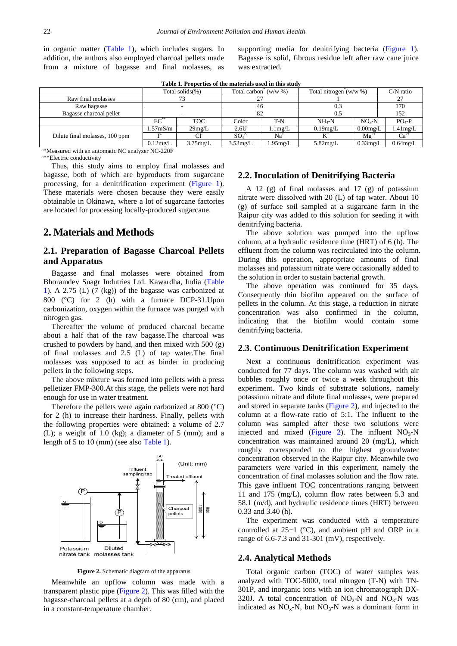in organic matter [\(Table 1\)](#page-1-0), which includes sugars. In addition, the authors also employed charcoal pellets made from a mixture of bagasse and final molasses, as supporting media for denitrifying bacteria [\(Figure 1\)](#page-0-0). Bagasse is solid, fibrous residue left after raw cane juice was extracted.

**Table 1. Properties of the materials used in this study**

<span id="page-1-0"></span>

|                                |                       | Total solids $(\%)$ | Total carbon <sup>*</sup> $(w/w %)$ |                   | Total nitrogen $(w/w \, \%)$ |             | $C/N$ ratio |  |  |
|--------------------------------|-----------------------|---------------------|-------------------------------------|-------------------|------------------------------|-------------|-------------|--|--|
| Raw final molasses             |                       |                     |                                     |                   |                              |             | 27          |  |  |
| Raw bagasse                    |                       |                     | 46                                  |                   | 0.3                          |             | 170         |  |  |
| Bagasse charcoal pellet        |                       |                     | 82                                  |                   | 0.5                          |             | 152         |  |  |
|                                | $EC^*$                | <b>TOC</b>          | Color                               | $T-N$             | $NH_{4}-N$                   | $NO - N$    | $PO4-P$     |  |  |
| Dilute final molasses, 100 ppm | 1.57 <sub>m</sub> S/m | 29mg/L              | 2.6U                                | $1.1 \text{mg/L}$ | 0.19mg/L                     | $0.00$ mg/L | 1.41mg/L    |  |  |
|                                |                       |                     | SO <sub>4</sub>                     | Na                | $K^+$                        | $Mg^{2+}$   | $Ca^{2+}$   |  |  |
|                                | $0.12$ mg/L           | $3.75$ mg/L         | $3.53$ mg/L                         | 1.95mg/L          | 5.82mg/L                     | $0.33$ mg/L | $0.64$ mg/L |  |  |
| .<br>.                         |                       |                     |                                     |                   |                              |             |             |  |  |

\*Measured with an automatic NC analyzer NC-220F

\*\*Electric conductivity

Thus, this study aims to employ final molasses and bagasse, both of which are byproducts from sugarcane processing, for a denitrification experiment [\(Figure 1\)](#page-0-0). These materials were chosen because they were easily obtainable in Okinawa, where a lot of sugarcane factories are located for processing locally-produced sugarcane.

# **2. Materials and Methods**

# **2.1. Preparation of Bagasse Charcoal Pellets and Apparatus**

Bagasse and final molasses were obtained from Bhoramdev Suagr Indutries Ltd. Kawardha, India [\(Table](#page-1-0)  [1\)](#page-1-0). A 2.75 (L) (7 (kg)) of the bagasse was carbonized at 800 (°C) for 2 (h) with a furnace DCP-31.Upon carbonization, oxygen within the furnace was purged with nitrogen gas.

Thereafter the volume of produced charcoal became about a half that of the raw bagasse.The charcoal was crushed to powders by hand, and then mixed with 500 (g) of final molasses and 2.5 (L) of tap water.The final molasses was supposed to act as binder in producing pellets in the following steps.

The above mixture was formed into pellets with a press pelletizer FMP-300.At this stage, the pellets were not hard enough for use in water treatment.

Therefore the pellets were again carbonized at 800 (°C) for 2 (h) to increase their hardness. Finally, pellets with the following properties were obtained: a volume of 2.7 (L); a weight of 1.0 (kg); a diameter of 5 (mm); and a length of 5 to 10 (mm) (see also [Table 1\)](#page-1-0).

<span id="page-1-1"></span>

**Figure 2.** Schematic diagram of the apparatus

Meanwhile an upflow column was made with a transparent plastic pipe [\(Figure 2\)](#page-1-1). This was filled with the bagasse-charcoal pellets at a depth of 80 (cm), and placed in a constant-temperature chamber.

#### **2.2. Inoculation of Denitrifying Bacteria**

A 12 (g) of final molasses and 17 (g) of potassium nitrate were dissolved with 20 (L) of tap water. About 10 (g) of surface soil sampled at a sugarcane farm in the Raipur city was added to this solution for seeding it with denitrifying bacteria.

The above solution was pumped into the upflow column, at a hydraulic residence time (HRT) of 6 (h). The effluent from the column was recirculated into the column. During this operation, appropriate amounts of final molasses and potassium nitrate were occasionally added to the solution in order to sustain bacterial growth.

The above operation was continued for 35 days. Consequently thin biofilm appeared on the surface of pellets in the column. At this stage, a reduction in nitrate concentration was also confirmed in the column, indicating that the biofilm would contain some denitrifying bacteria.

#### **2.3. Continuous Denitrification Experiment**

Next a continuous denitrification experiment was conducted for 77 days. The column was washed with air bubbles roughly once or twice a week throughout this experiment. Two kinds of substrate solutions, namely potassium nitrate and dilute final molasses, were prepared and stored in separate tanks [\(Figure 2\)](#page-1-1), and injected to the column at a flow-rate ratio of 5:1. The influent to the column was sampled after these two solutions were injected and mixed [\(Figure 2\)](#page-1-1). The influent  $NO<sub>3</sub>-N$ concentration was maintained around 20 (mg/L), which roughly corresponded to the highest groundwater concentration observed in the Raipur city. Meanwhile two parameters were varied in this experiment, namely the concentration of final molasses solution and the flow rate. This gave influent TOC concentrations ranging between 11 and 175 (mg/L), column flow rates between 5.3 and 58.1 (m/d), and hydraulic residence times (HRT) between 0.33 and 3.40 (h).

The experiment was conducted with a temperature controlled at  $25\pm1$  (°C), and ambient pH and ORP in a range of 6.6-7.3 and 31-301 (mV), respectively.

#### **2.4. Analytical Methods**

Total organic carbon (TOC) of water samples was analyzed with TOC-5000, total nitrogen (T-N) with TN-301P, and inorganic ions with an ion chromatograph DX-320J. A total concentration of  $NO<sub>2</sub>-N$  and  $NO<sub>3</sub>-N$  was indicated as  $NO<sub>x</sub>-N$ , but  $NO<sub>3</sub>-N$  was a dominant form in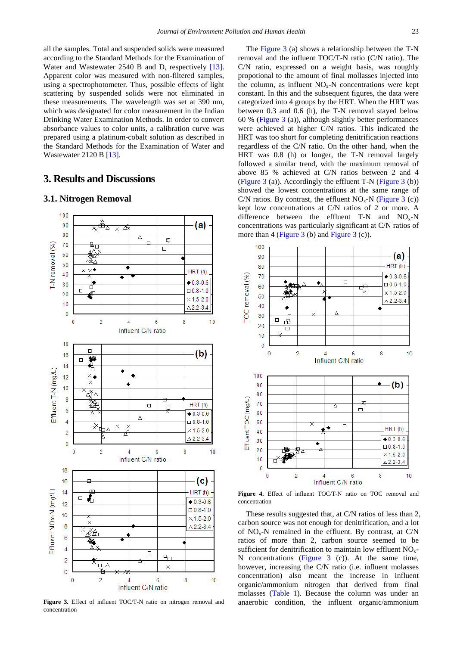all the samples. Total and suspended solids were measured according to the Standard Methods for the Examination of Water and Wastewater 2540 B and D, respectively [\[13\].](#page-4-7) Apparent color was measured with non-filtered samples, using a spectrophotometer. Thus, possible effects of light scattering by suspended solids were not eliminated in these measurements. The wavelength was set at 390 nm, which was designated for color measurement in the Indian Drinking Water Examination Methods. In order to convert absorbance values to color units, a calibration curve was prepared using a platinum-cobalt solution as described in the Standard Methods for the Examination of Water and Wastewater 2120 B [\[13\].](#page-4-7)

# **3. Results and Discussions**

<span id="page-2-0"></span>

**3.1. Nitrogen Removal**

**Figure 3.** Effect of influent TOC/T-N ratio on nitrogen removal and concentration

The [Figure 3](#page-2-0) (a) shows a relationship between the T-N removal and the influent TOC/T-N ratio (C/N ratio). The C/N ratio, expressed on a weight basis, was roughly propotional to the amount of final mollasses injected into the column, as influent  $NO<sub>x</sub>$ -N concentrations were kept constant. In this and the subsequent figures, the data were categorized into 4 groups by the HRT. When the HRT was between 0.3 and 0.6 (h), the T-N removal stayed below 60 % [\(Figure 3](#page-2-0) (a)), although slightly better performances were achieved at higher C/N ratios. This indicated the HRT was too short for completing denitrification reactions regardless of the C/N ratio. On the other hand, when the HRT was 0.8 (h) or longer, the T-N removal largely followed a similar trend, with the maximum removal of above 85 % achieved at C/N ratios between 2 and 4 [\(Figure 3](#page-2-0) (a)). Accordingly the effluent T-N (Figure 3 (b)) showed the lowest concentrations at the same range of C/N ratios. By contrast, the effluent  $NO<sub>x</sub>-N$  [\(Figure 3](#page-2-0) (c)) kept low concentrations at C/N ratios of 2 or more. A difference between the effluent  $T-N$  and  $NO<sub>x</sub>-N$ concentrations was particularly significant at C/N ratios of more than 4 [\(Figure](#page-2-0) 3 (b) and [Figure 3](#page-2-0) (c)).

<span id="page-2-1"></span>

**Figure 4.** Effect of influent TOC/T-N ratio on TOC removal and concentration

These results suggested that, at C/N ratios of less than 2, carbon source was not enough for denitrification, and a lot of  $NO<sub>x</sub>$ -N remained in the effluent. By contrast, at  $C/N$ ratios of more than 2, carbon source seemed to be sufficient for denitrification to maintain low effluent NO<sub>y</sub>-N concentrations [\(Figure 3](#page-2-0) (c)). At the same time, however, increasing the C/N ratio (i.e. influent molasses concentration) also meant the increase in influent organic/ammonium nitrogen that derived from final molasses [\(Table 1\)](#page-1-0). Because the column was under an anaerobic condition, the influent organic/ammonium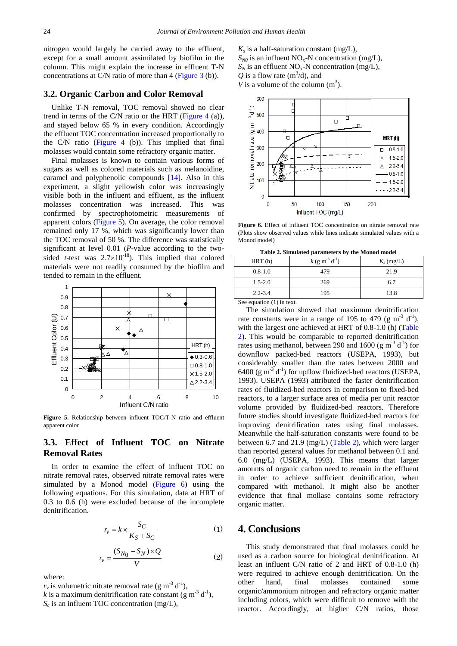nitrogen would largely be carried away to the effluent, except for a small amount assimilated by biofilm in the column. This might explain the increase in effluent T-N concentrations at C/N ratio of more than 4 [\(Figure 3](#page-2-0) (b)).

#### **3.2. Organic Carbon and Color Removal**

Unlike T-N removal, TOC removal showed no clear trend in terms of the C/N ratio or the HRT (Figure  $4$  (a)), and stayed below 65 % in every condition. Accordingly the effluent TOC concentration increased proportionally to the C/N ratio [\(Figure 4](#page-2-1) (b)). This implied that final molasses would contain some refractory organic matter.

Final molasses is known to contain various forms of sugars as well as colored materials such as melanoidine, caramel and polyphenolic compounds [\[14\].](#page-4-8) Also in this experiment, a slight yellowish color was increasingly visible both in the influent and effluent, as the influent molasses concentration was increased. This was confirmed by spectrophotometric measurements of apparent colors [\(Figure 5\)](#page-3-0). On average, the color removal remained only 17 %, which was significantly lower than the TOC removal of 50 %. The difference was statistically significant at level 0.01 (*P*-value according to the twosided *t*-test was  $2.7 \times 10^{-18}$ ). This implied that colored materials were not readily consumed by the biofilm and tended to remain in the effluent.

<span id="page-3-0"></span>

**Figure 5.** Relationship between influent TOC/T-N ratio and effluent apparent color

### **3.3. Effect of Influent TOC on Nitrate Removal Rates**

In order to examine the effect of influent TOC on nitrate removal rates, observed nitrate removal rates were simulated by a Monod model [\(Figure 6\)](#page-3-1) using the following equations. For this simulation, data at HRT of 0.3 to 0.6 (h) were excluded because of the incomplete denitrification.

$$
r_v = k \times \frac{S_C}{K_S + S_C} \tag{1}
$$

$$
r_v = \frac{(S_{N_0} - S_N) \times Q}{V} \tag{2}
$$

where:

 $r_v$  is volumetric nitrate removal rate (g m<sup>-3</sup> d<sup>-1</sup>),

*k* is a maximum denitrification rate constant (g m<sup>-3</sup> d<sup>-1</sup>), *Sc* is an influent TOC concentration (mg/L),

 $K<sub>s</sub>$  is a half-saturation constant (mg/L),  $S_{N0}$  is an influent NO<sub>x</sub>-N concentration (mg/L),  $S_N$  is an effluent  $NO_X$ -N concentration (mg/L), Q is a flow rate  $(m^3/d)$ , and *V* is a volume of the column  $(m^3)$ .

<span id="page-3-1"></span>

**Figure 6.** Effect of influent TOC concentration on nitrate removal rate (Plots show observed values while lines indicate simulated values with a Monod model)

**Table 2. Simulated parameters by the Monod model**

<span id="page-3-2"></span>

| HRT(h)      | $k$ (g m <sup>-3</sup> d <sup>-1</sup> ) | $K_s$ (mg/L) |
|-------------|------------------------------------------|--------------|
| $0.8 - 1.0$ | 479                                      | 21.9         |
| $1.5 - 2.0$ | 269                                      | 6.7          |
| $2.2 - 3.4$ | 195                                      | 13.8         |

See equation (1) in text.

The simulation showed that maximum denitrification rate constants were in a range of 195 to 479 (g m<sup>-3</sup> d<sup>-1</sup>), with the largest one achieved at HRT of 0.8-1.0 (h) [\(Table](#page-3-2)  [2\)](#page-3-2). This would be comparable to reported denitrification rates using methanol, between 290 and 1600 (g m<sup>-3</sup> d<sup>-1</sup>) for downflow packed-bed reactors (USEPA, 1993), but considerably smaller than the rates between 2000 and 6400 (g  $m^{-3}$  d<sup>-1</sup>) for upflow fluidized-bed reactors (USEPA, 1993). USEPA (1993) attributed the faster denitrification rates of fluidized-bed reactors in comparison to fixed-bed reactors, to a larger surface area of media per unit reactor volume provided by fluidized-bed reactors. Therefore future studies should investigate fluidized-bed reactors for improving denitrification rates using final molasses. Meanwhile the half-saturation constants were found to be between 6.7 and 21.9 (mg/L) [\(Table 2\)](#page-3-2), which were larger than reported general values for methanol between 0.1 and 6.0 (mg/L) (USEPA, 1993). This means that larger amounts of organic carbon need to remain in the effluent in order to achieve sufficient denitrification, when compared with methanol. It might also be another evidence that final mollase contains some refractory organic matter.

# **4. Conclusions**

This study demonstrated that final molasses could be used as a carbon source for biological denitrification. At least an influent C/N ratio of 2 and HRT of 0.8-1.0 (h) were required to achieve enough denitrification. On the other hand, final molasses contained some organic/ammonium nitrogen and refractory organic matter including colors, which were difficult to remove with the reactor. Accordingly, at higher C/N ratios, those